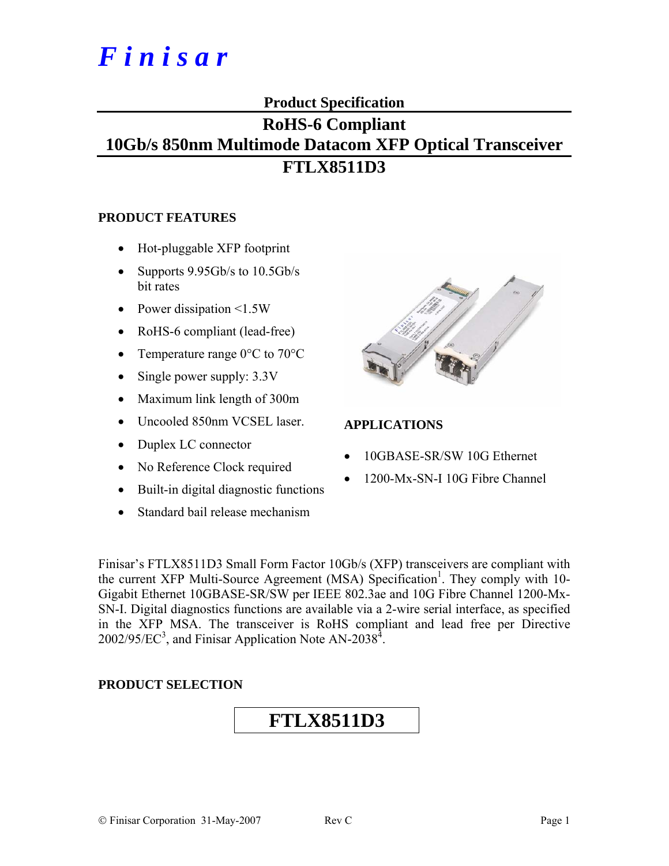# *F i n i s a r*

### **Product Specification**

## **RoHS-6 Compliant 10Gb/s 850nm Multimode Datacom XFP Optical Transceiver FTLX8511D3**

#### **PRODUCT FEATURES**

- Hot-pluggable XFP footprint
- Supports 9.95Gb/s to 10.5Gb/s bit rates
- Power dissipation <1.5W
- RoHS-6 compliant (lead-free)
- Temperature range 0°C to 70°C
- Single power supply:  $3.3V$
- Maximum link length of 300m
- Uncooled 850nm VCSEL laser.
- Duplex LC connector
- No Reference Clock required
- Built-in digital diagnostic functions
- Standard bail release mechanism



#### **APPLICATIONS**

- 10GBASE-SR/SW 10G Ethernet
- 1200-Mx-SN-I 10G Fibre Channel

Finisar's FTLX8511D3 Small Form Factor 10Gb/s (XFP) transceivers are compliant with the current XFP Multi-Source Agreement (MSA) Specification<sup>1</sup>. They comply with 10-Gigabit Ethernet 10GBASE-SR/SW per IEEE 802.3ae and 10G Fibre Channel 1200-Mx-SN-I. Digital diagnostics functions are available via a 2-wire serial interface, as specified in the XFP MSA. The transceiver is RoHS compliant and lead free per Directive  $2002/95/EC^3$ , and Finisar Application Note AN-2038<sup>4</sup>.

#### **PRODUCT SELECTION**

## **FTLX8511D3**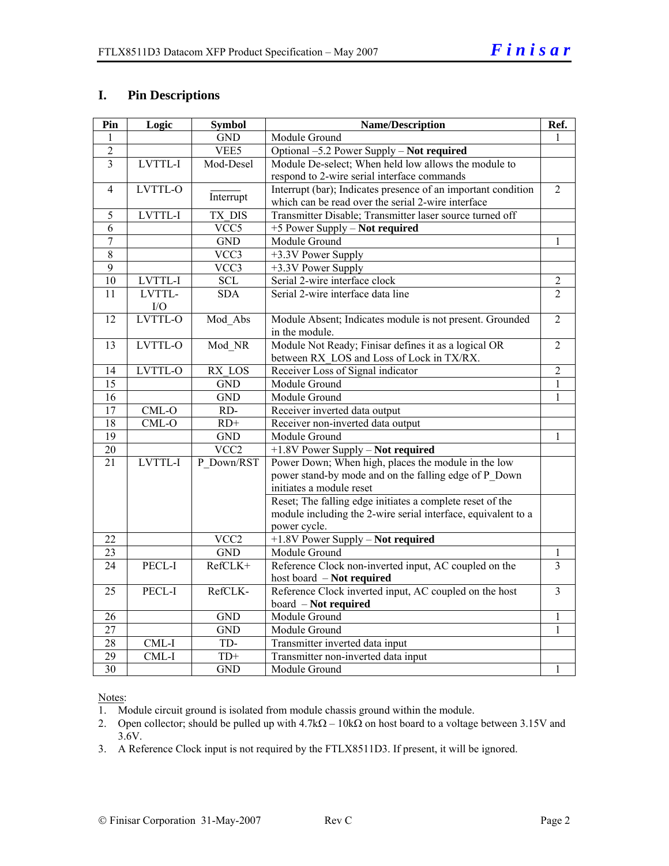#### **I. Pin Descriptions**

| Pin             | Logic          | <b>Symbol</b>    | <b>Name/Description</b>                                       | Ref.           |
|-----------------|----------------|------------------|---------------------------------------------------------------|----------------|
| 1               |                | <b>GND</b>       | Module Ground                                                 | 1              |
| $\overline{2}$  |                | VEE5             | Optional -5.2 Power Supply - Not required                     |                |
| $\overline{3}$  | LVTTL-I        | Mod-Desel        | Module De-select; When held low allows the module to          |                |
|                 |                |                  | respond to 2-wire serial interface commands                   |                |
| $\overline{4}$  | LVTTL-O        |                  | Interrupt (bar); Indicates presence of an important condition | $\overline{2}$ |
|                 |                | Interrupt        | which can be read over the serial 2-wire interface            |                |
| 5               | <b>LVTTL-I</b> | TX DIS           | Transmitter Disable; Transmitter laser source turned off      |                |
| $\overline{6}$  |                | VCC5             | +5 Power Supply - Not required                                |                |
| $\overline{7}$  |                | <b>GND</b>       | Module Ground                                                 | 1              |
| $\overline{8}$  |                | VCC3             | +3.3V Power Supply                                            |                |
| $\overline{9}$  |                | VCC3             | +3.3V Power Supply                                            |                |
| 10              | LVTTL-I        | <b>SCL</b>       | Serial 2-wire interface clock                                 | $\overline{2}$ |
| 11              | LVTTL-         | <b>SDA</b>       | Serial 2-wire interface data line                             | $\overline{2}$ |
|                 | I/O            |                  |                                                               |                |
| 12              | LVTTL-O        | Mod Abs          | Module Absent; Indicates module is not present. Grounded      | $\overline{2}$ |
|                 |                |                  | in the module.                                                |                |
| $\overline{13}$ | LVTTL-O        | Mod NR           | Module Not Ready; Finisar defines it as a logical OR          | $\overline{2}$ |
|                 |                |                  | between RX_LOS and Loss of Lock in TX/RX.                     |                |
| 14              | LVTTL-O        | RX LOS           | Receiver Loss of Signal indicator                             | $\overline{2}$ |
| $\overline{15}$ |                | <b>GND</b>       | Module Ground                                                 | $\mathbf{1}$   |
| 16              |                | <b>GND</b>       | Module Ground                                                 | $\mathbf{1}$   |
| $\overline{17}$ | $CML-O$        | RD-              | Receiver inverted data output                                 |                |
| $\overline{18}$ | $CML-O$        | $RD+$            | Receiver non-inverted data output                             |                |
| $\overline{19}$ |                | <b>GND</b>       | Module Ground                                                 | $\mathbf{1}$   |
| $20\,$          |                | VCC <sub>2</sub> | +1.8V Power Supply - Not required                             |                |
| 21              | LVTTL-I        | P_Down/RST       | Power Down; When high, places the module in the low           |                |
|                 |                |                  | power stand-by mode and on the falling edge of P_Down         |                |
|                 |                |                  | initiates a module reset                                      |                |
|                 |                |                  | Reset; The falling edge initiates a complete reset of the     |                |
|                 |                |                  | module including the 2-wire serial interface, equivalent to a |                |
|                 |                |                  | power cycle.                                                  |                |
| 22              |                | VCC <sub>2</sub> | +1.8V Power Supply - Not required                             |                |
| 23              |                | <b>GND</b>       | Module Ground                                                 | $\mathbf{1}$   |
| $\overline{24}$ | PECL-I         | RefCLK+          | Reference Clock non-inverted input, AC coupled on the         | $\overline{3}$ |
|                 |                |                  | host board - Not required                                     |                |
| 25              | PECL-I         | RefCLK-          | Reference Clock inverted input, AC coupled on the host        | $\overline{3}$ |
|                 |                |                  | board - Not required                                          |                |
| 26              |                | <b>GND</b>       | Module Ground                                                 | 1              |
| 27              |                | <b>GND</b>       | Module Ground                                                 | 1              |
| 28              | CML-I          | TD-              | Transmitter inverted data input                               |                |
| 29              | CML-I          | $TD+$            | Transmitter non-inverted data input                           |                |
| 30              |                | <b>GND</b>       | Module Ground                                                 | 1              |

Notes:

1. Module circuit ground is isolated from module chassis ground within the module.

2. Open collector; should be pulled up with 4.7kΩ – 10kΩ on host board to a voltage between 3.15V and 3.6V.

3. A Reference Clock input is not required by the FTLX8511D3. If present, it will be ignored.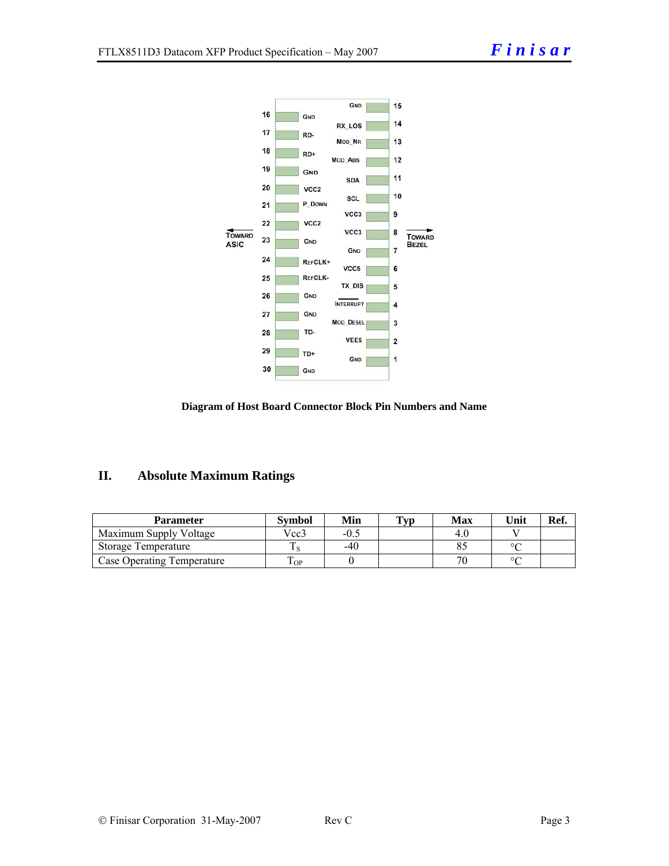



### **II. Absolute Maximum Ratings**

| <b>Parameter</b>           | Svmbol   | Min    | Typ | <b>Max</b> | Unit    | Ref. |
|----------------------------|----------|--------|-----|------------|---------|------|
| Maximum Supply Voltage     | Vcc3     | $-0.4$ |     | 4.0        |         |      |
| Storage Temperature        |          | -40    |     |            | $\circ$ |      |
| Case Operating Temperature | m<br>OP. |        |     |            | $\circ$ |      |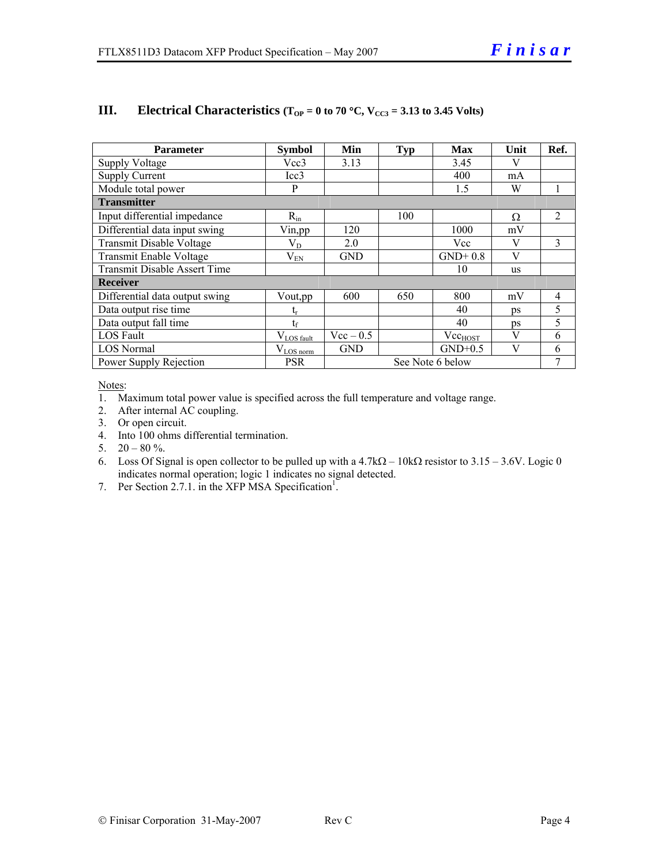| <b>Parameter</b>                    | <b>Symbol</b>          | Min         | <b>Typ</b> | <b>Max</b>       | Unit      | Ref.           |
|-------------------------------------|------------------------|-------------|------------|------------------|-----------|----------------|
| Supply Voltage                      | Vcc3                   | 3.13        |            | 3.45             | V         |                |
| <b>Supply Current</b>               | Icc3                   |             |            | 400              | mA        |                |
| Module total power                  | P                      |             |            | 1.5              | W         | 1              |
| <b>Transmitter</b>                  |                        |             |            |                  |           |                |
| Input differential impedance        | $R_{in}$               |             | 100        |                  | Ω         | 2              |
| Differential data input swing       | Vin, pp                | 120         |            | 1000             | mV        |                |
| Transmit Disable Voltage            | $\rm V_{D}$            | 2.0         |            | Vcc              | V         | 3              |
| Transmit Enable Voltage             | $V_{EN}$               | <b>GND</b>  |            | $GND+0.8$        | V         |                |
| <b>Transmit Disable Assert Time</b> |                        |             |            | 10               | <b>us</b> |                |
| <b>Receiver</b>                     |                        |             |            |                  |           |                |
| Differential data output swing      | Vout, pp.              | 600         | 650        | 800              | mV        | $\overline{4}$ |
| Data output rise time               | $\mathfrak{t}_{\rm r}$ |             |            | 40               | <b>ps</b> | 5              |
| Data output fall time               | $t_{\rm f}$            |             |            | 40               | ps        | 5              |
| <b>LOS</b> Fault                    | $V_{LOS\_fault}$       | $Vec - 0.5$ |            | $Vec_{HOST}$     | V         | 6              |
| <b>LOS</b> Normal                   | $V_{LOS\_norm}$        | <b>GND</b>  |            | $GND+0.5$        | V         | 6              |
| Power Supply Rejection              | <b>PSR</b>             |             |            | See Note 6 below |           | 7              |

#### **III.** Electrical Characteristics ( $T_{OP} = 0$  to 70 °C,  $V_{CC3} = 3.13$  to 3.45 Volts)

Notes:

1. Maximum total power value is specified across the full temperature and voltage range.

2. After internal AC coupling.

3. Or open circuit.

4. Into 100 ohms differential termination.

5.  $20 - 80 \%$ .

6. Loss Of Signal is open collector to be pulled up with a  $4.7k\Omega - 10k\Omega$  resistor to  $3.15 - 3.6V$ . Logic 0 indicates normal operation; logic 1 indicates no signal detected.

7. Per Section 2.7.1. in the XFP MSA Specification<sup>1</sup>.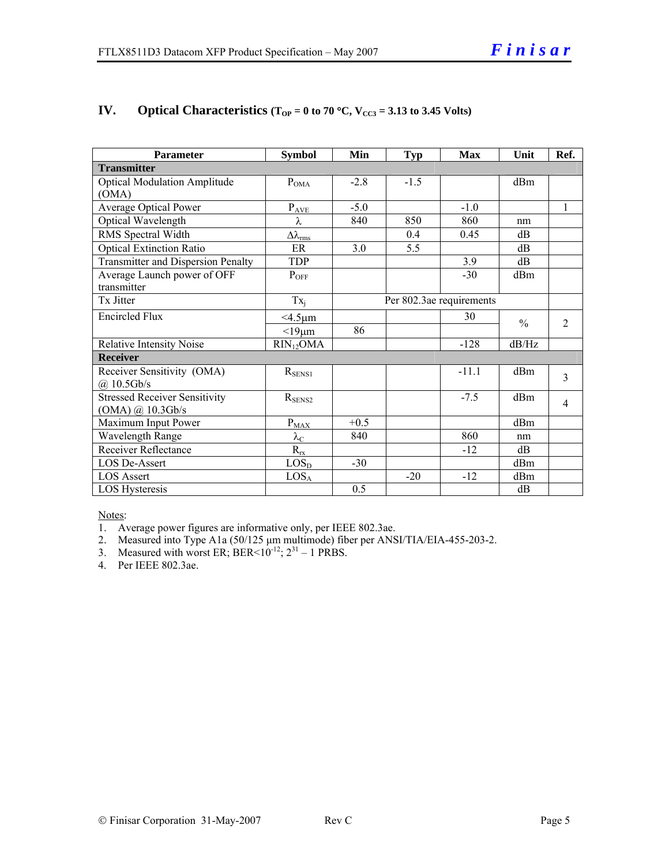| <b>Parameter</b>                     | <b>Symbol</b>                | Min                      | <b>Typ</b> | <b>Max</b> | Unit            | Ref.           |
|--------------------------------------|------------------------------|--------------------------|------------|------------|-----------------|----------------|
| <b>Transmitter</b>                   |                              |                          |            |            |                 |                |
| <b>Optical Modulation Amplitude</b>  | $P_{OMA}$                    | $-2.8$                   | $-1.5$     |            | dBm             |                |
| (OMA)                                |                              |                          |            |            |                 |                |
| <b>Average Optical Power</b>         | $P_{A\underline{VE}}$        | $-5.0$                   |            | $-1.0$     |                 | $\mathbf{1}$   |
| Optical Wavelength                   | λ                            | 840                      | 850        | 860        | nm              |                |
| RMS Spectral Width                   | $\Delta\lambda_{\text{rms}}$ |                          | 0.4        | 0.45       | dB              |                |
| <b>Optical Extinction Ratio</b>      | ER                           | 3.0                      | 5.5        |            | dB              |                |
| Transmitter and Dispersion Penalty   | <b>TDP</b>                   |                          |            | 3.9        | dB              |                |
| Average Launch power of OFF          | $P_{OFF}$                    |                          |            | $-30$      | dBm             |                |
| transmitter                          |                              |                          |            |            |                 |                |
| Tx Jitter                            | $Tx_i$                       | Per 802.3ae requirements |            |            |                 |                |
| <b>Encircled Flux</b>                | $<$ 4.5 $\mu$ m              |                          |            | 30         | $\frac{0}{0}$   | $\overline{2}$ |
|                                      | $<$ 19 $\mu$ m               | 86                       |            |            |                 |                |
| <b>Relative Intensity Noise</b>      | $RIN_{12}OMA$                |                          |            | $-128$     | dB/Hz           |                |
| <b>Receiver</b>                      |                              |                          |            |            |                 |                |
| Receiver Sensitivity (OMA)           | $R_{SENS1}$                  |                          |            | $-11.1$    | dBm             | 3              |
| $(a)$ 10.5Gb/s                       |                              |                          |            |            |                 |                |
| <b>Stressed Receiver Sensitivity</b> | $R_{\text{SENS2}}$           |                          |            | $-7.5$     | d <sub>Bm</sub> | 4              |
| (OMA) @ 10.3Gb/s                     |                              |                          |            |            |                 |                |
| Maximum Input Power                  | $P_{\text{MAX}}$             | $+0.5$                   |            |            | d <sub>Bm</sub> |                |
| Wavelength Range                     | $\lambda_{\mathrm{C}}$       | 840                      |            | 860        | nm              |                |
| <b>Receiver Reflectance</b>          | $R_{rx}$                     |                          |            | $-12$      | dB              |                |
| <b>LOS De-Assert</b>                 | LOS <sub>D</sub>             | $-30$                    |            |            | dBm             |                |
| <b>LOS Assert</b>                    | LOS <sub>A</sub>             |                          | $-20$      | $-12$      | dBm             |                |
| LOS Hysteresis                       |                              | 0.5                      |            |            | dB              |                |

#### **IV.** Optical Characteristics ( $T_{OP} = 0$  to 70 °C,  $V_{CC3} = 3.13$  to 3.45 Volts)

Notes:

1. Average power figures are informative only, per IEEE 802.3ae.

2. Measured into Type A1a (50/125 μm multimode) fiber per ANSI/TIA/EIA-455-203-2.

3. Measured with worst ER; BER<10<sup>-12</sup>;  $2^{31}$  – 1 PRBS.

4. Per IEEE 802.3ae.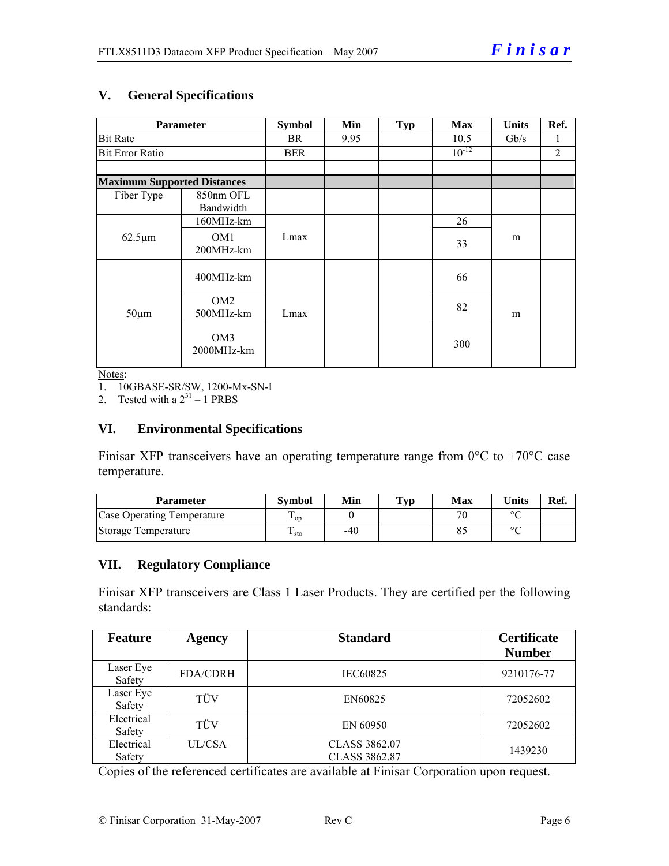#### **V. General Specifications**

| <b>Parameter</b>                     | <b>Symbol</b>                | Min  | <b>Typ</b> | <b>Max</b> | <b>Units</b> | Ref. |  |
|--------------------------------------|------------------------------|------|------------|------------|--------------|------|--|
| <b>Bit Rate</b>                      | BR.                          | 9.95 |            | 10.5       | Gb/s         | 1    |  |
| <b>Bit Error Ratio</b>               | BER                          |      |            | $10^{-12}$ |              | 2    |  |
| <b>Maximum Supported Distances</b>   |                              |      |            |            |              |      |  |
| Fiber Type<br>850nm OFL<br>Bandwidth |                              |      |            |            |              |      |  |
|                                      | 160MHz-km                    |      |            |            | 26           |      |  |
| $62.5 \mu m$                         | OM <sub>1</sub><br>200MHz-km | Lmax |            |            | 33           | m    |  |
|                                      | 400MHz-km                    |      |            |            | 66           |      |  |
| $50 \mu m$                           | OM <sub>2</sub><br>500MHz-km | Lmax |            |            | 82           | m    |  |
|                                      | OM3<br>2000MHz-km            |      |            |            | 300          |      |  |

Notes:

1. 10GBASE-SR/SW, 1200-Mx-SN-I

2. Tested with a  $2^{31} - 1$  PRBS

#### **VI. Environmental Specifications**

Finisar XFP transceivers have an operating temperature range from  $0^{\circ}$ C to +70 $^{\circ}$ C case temperature.

| Parameter                         | Svmbol          | Min | $\mathbf{T}_{\mathbf{V}\mathbf{p}}$ | Max | $\mathbf{v}_{\text{hits}}$ | Ref. |
|-----------------------------------|-----------------|-----|-------------------------------------|-----|----------------------------|------|
| <b>Case Operating Temperature</b> | $\mathbf{L}$ op |     |                                     | Πſ  | $\circ$                    |      |
| Storage Temperature               | Ē<br>⊥ sto      | -40 |                                     |     | $\circ$                    |      |

#### **VII. Regulatory Compliance**

Finisar XFP transceivers are Class 1 Laser Products. They are certified per the following standards:

| <b>Feature</b>       | <b>Agency</b>   | <b>Standard</b>                       | <b>Certificate</b><br><b>Number</b> |
|----------------------|-----------------|---------------------------------------|-------------------------------------|
| Laser Eye<br>Safety  | <b>FDA/CDRH</b> | IEC60825                              | 9210176-77                          |
| Laser Eye<br>Safety  | TÜV             | EN60825                               | 72052602                            |
| Electrical<br>Safety | TÜV             | EN 60950                              | 72052602                            |
| Electrical<br>Safety | <b>UL/CSA</b>   | CLASS 3862.07<br><b>CLASS 3862.87</b> | 1439230                             |

Copies of the referenced certificates are available at Finisar Corporation upon request.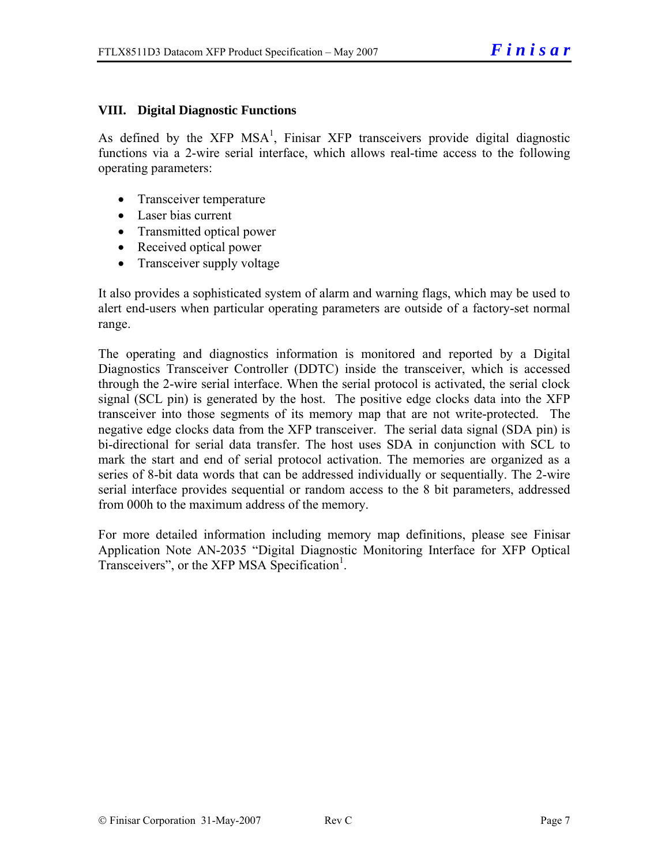#### **VIII. Digital Diagnostic Functions**

As defined by the XFP  $MSA<sup>1</sup>$ , Finisar XFP transceivers provide digital diagnostic functions via a 2-wire serial interface, which allows real-time access to the following operating parameters:

- Transceiver temperature
- Laser bias current
- Transmitted optical power
- Received optical power
- Transceiver supply voltage

It also provides a sophisticated system of alarm and warning flags, which may be used to alert end-users when particular operating parameters are outside of a factory-set normal range.

The operating and diagnostics information is monitored and reported by a Digital Diagnostics Transceiver Controller (DDTC) inside the transceiver, which is accessed through the 2-wire serial interface. When the serial protocol is activated, the serial clock signal (SCL pin) is generated by the host. The positive edge clocks data into the XFP transceiver into those segments of its memory map that are not write-protected. The negative edge clocks data from the XFP transceiver. The serial data signal (SDA pin) is bi-directional for serial data transfer. The host uses SDA in conjunction with SCL to mark the start and end of serial protocol activation. The memories are organized as a series of 8-bit data words that can be addressed individually or sequentially. The 2-wire serial interface provides sequential or random access to the 8 bit parameters, addressed from 000h to the maximum address of the memory.

For more detailed information including memory map definitions, please see Finisar Application Note AN-2035 "Digital Diagnostic Monitoring Interface for XFP Optical Transceivers", or the XFP MSA Specification<sup>1</sup>.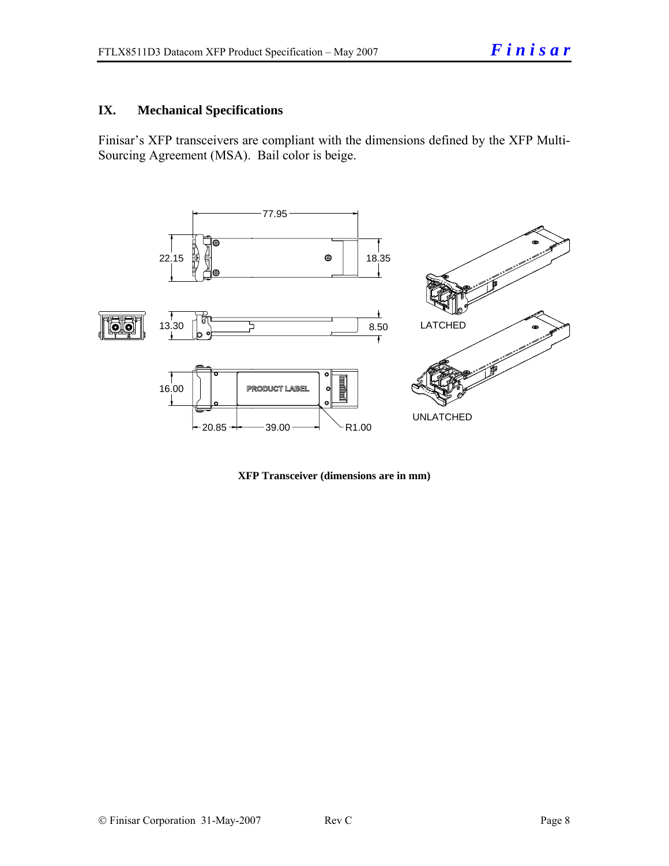#### **IX. Mechanical Specifications**

Finisar's XFP transceivers are compliant with the dimensions defined by the XFP Multi-Sourcing Agreement (MSA). Bail color is beige.



**XFP Transceiver (dimensions are in mm)**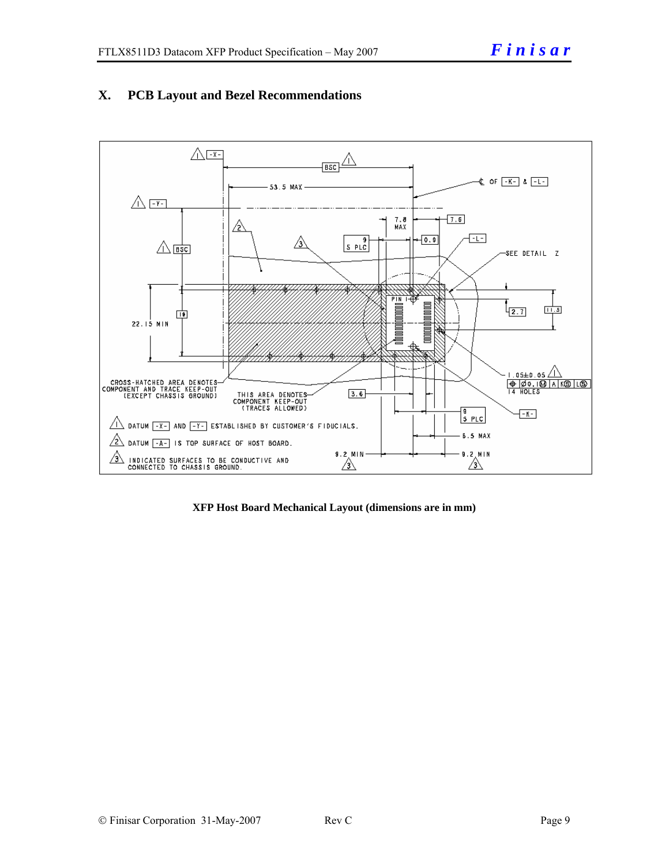

#### **X. PCB Layout and Bezel Recommendations**

**XFP Host Board Mechanical Layout (dimensions are in mm)**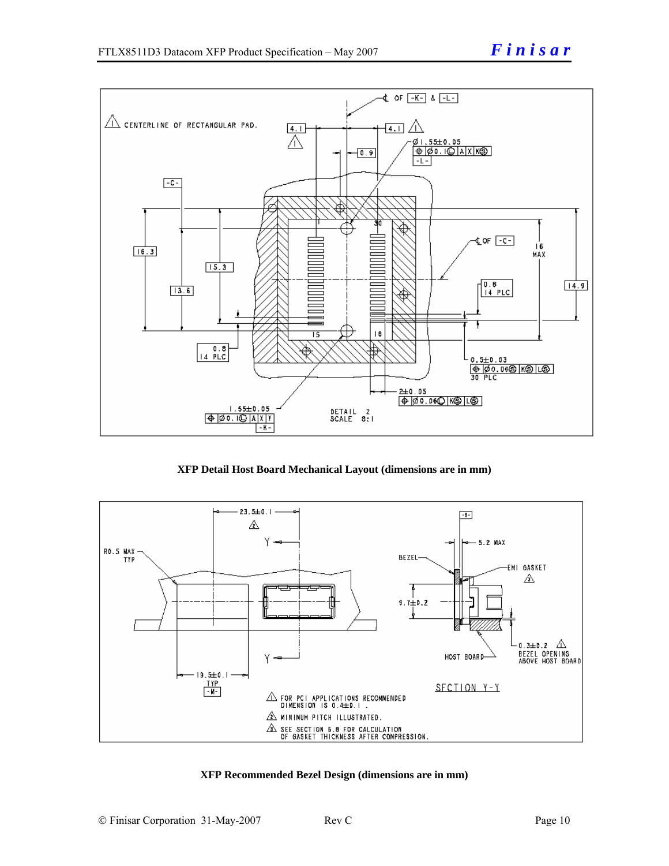

**XFP Detail Host Board Mechanical Layout (dimensions are in mm)** 



#### **XFP Recommended Bezel Design (dimensions are in mm)**